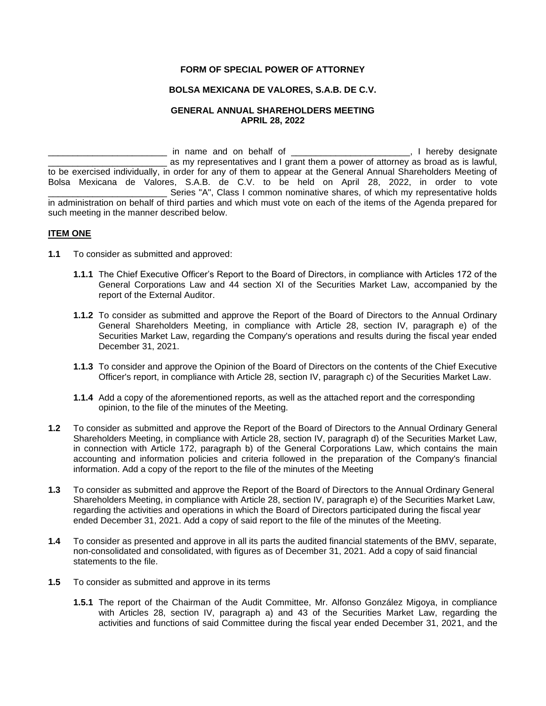### **FORM OF SPECIAL POWER OF ATTORNEY**

#### **BOLSA MEXICANA DE VALORES, S.A.B. DE C.V.**

#### **GENERAL ANNUAL SHAREHOLDERS MEETING APRIL 28, 2022**

\_\_ in name and on behalf of \_\_\_\_\_\_\_\_\_\_\_\_\_\_\_\_\_\_\_\_\_\_\_\_, I hereby designate \_\_\_\_\_\_\_\_\_\_\_\_\_\_\_\_\_\_\_\_\_\_\_\_ as my representatives and I grant them a power of attorney as broad as is lawful, to be exercised individually, in order for any of them to appear at the General Annual Shareholders Meeting of Bolsa Mexicana de Valores, S.A.B. de C.V. to be held on April 28, 2022, in order to vote Series "A", Class I common nominative shares, of which my representative holds in administration on behalf of third parties and which must vote on each of the items of the Agenda prepared for such meeting in the manner described below.

#### **ITEM ONE**

- **1.1** To consider as submitted and approved:
	- **1.1.1** The Chief Executive Officer's Report to the Board of Directors, in compliance with Articles 172 of the General Corporations Law and 44 section XI of the Securities Market Law, accompanied by the report of the External Auditor.
	- **1.1.2** To consider as submitted and approve the Report of the Board of Directors to the Annual Ordinary General Shareholders Meeting, in compliance with Article 28, section IV, paragraph e) of the Securities Market Law, regarding the Company's operations and results during the fiscal year ended December 31, 2021.
	- **1.1.3** To consider and approve the Opinion of the Board of Directors on the contents of the Chief Executive Officer's report, in compliance with Article 28, section IV, paragraph c) of the Securities Market Law.
	- **1.1.4** Add a copy of the aforementioned reports, as well as the attached report and the corresponding opinion, to the file of the minutes of the Meeting.
- **1.2** To consider as submitted and approve the Report of the Board of Directors to the Annual Ordinary General Shareholders Meeting, in compliance with Article 28, section IV, paragraph d) of the Securities Market Law, in connection with Article 172, paragraph b) of the General Corporations Law, which contains the main accounting and information policies and criteria followed in the preparation of the Company's financial information. Add a copy of the report to the file of the minutes of the Meeting
- **1.3** To consider as submitted and approve the Report of the Board of Directors to the Annual Ordinary General Shareholders Meeting, in compliance with Article 28, section IV, paragraph e) of the Securities Market Law, regarding the activities and operations in which the Board of Directors participated during the fiscal year ended December 31, 2021. Add a copy of said report to the file of the minutes of the Meeting.
- **1.4** To consider as presented and approve in all its parts the audited financial statements of the BMV, separate, non-consolidated and consolidated, with figures as of December 31, 2021. Add a copy of said financial statements to the file.
- **1.5** To consider as submitted and approve in its terms
	- **1.5.1** The report of the Chairman of the Audit Committee, Mr. Alfonso González Migoya, in compliance with Articles 28, section IV, paragraph a) and 43 of the Securities Market Law, regarding the activities and functions of said Committee during the fiscal year ended December 31, 2021, and the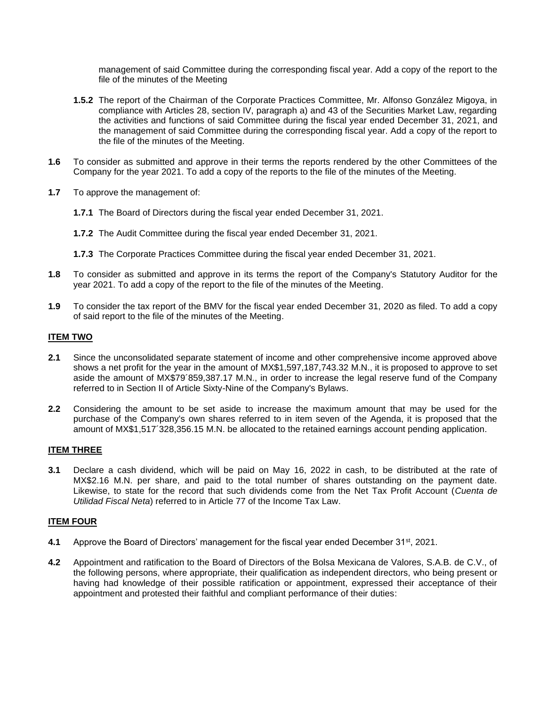management of said Committee during the corresponding fiscal year. Add a copy of the report to the file of the minutes of the Meeting

- **1.5.2** The report of the Chairman of the Corporate Practices Committee, Mr. Alfonso González Migoya, in compliance with Articles 28, section IV, paragraph a) and 43 of the Securities Market Law, regarding the activities and functions of said Committee during the fiscal year ended December 31, 2021, and the management of said Committee during the corresponding fiscal year. Add a copy of the report to the file of the minutes of the Meeting.
- **1.6** To consider as submitted and approve in their terms the reports rendered by the other Committees of the Company for the year 2021. To add a copy of the reports to the file of the minutes of the Meeting.
- **1.7** To approve the management of:
	- **1.7.1** The Board of Directors during the fiscal year ended December 31, 2021.
	- **1.7.2** The Audit Committee during the fiscal year ended December 31, 2021.
	- **1.7.3** The Corporate Practices Committee during the fiscal year ended December 31, 2021.
- **1.8** To consider as submitted and approve in its terms the report of the Company's Statutory Auditor for the year 2021. To add a copy of the report to the file of the minutes of the Meeting.
- **1.9** To consider the tax report of the BMV for the fiscal year ended December 31, 2020 as filed. To add a copy of said report to the file of the minutes of the Meeting.

## **ITEM TWO**

- **2.1** Since the unconsolidated separate statement of income and other comprehensive income approved above shows a net profit for the year in the amount of MX\$1,597,187,743.32 M.N., it is proposed to approve to set aside the amount of MX\$79´859,387.17 M.N., in order to increase the legal reserve fund of the Company referred to in Section II of Article Sixty-Nine of the Company's Bylaws.
- **2.2** Considering the amount to be set aside to increase the maximum amount that may be used for the purchase of the Company's own shares referred to in item seven of the Agenda, it is proposed that the amount of MX\$1,517´328,356.15 M.N. be allocated to the retained earnings account pending application.

### **ITEM THREE**

**3.1** Declare a cash dividend, which will be paid on May 16, 2022 in cash, to be distributed at the rate of MX\$2.16 M.N. per share, and paid to the total number of shares outstanding on the payment date. Likewise, to state for the record that such dividends come from the Net Tax Profit Account (*Cuenta de Utilidad Fiscal Neta*) referred to in Article 77 of the Income Tax Law.

## **ITEM FOUR**

- **4.1** Approve the Board of Directors' management for the fiscal year ended December 31<sup>st</sup>, 2021.
- **4.2** Appointment and ratification to the Board of Directors of the Bolsa Mexicana de Valores, S.A.B. de C.V., of the following persons, where appropriate, their qualification as independent directors, who being present or having had knowledge of their possible ratification or appointment, expressed their acceptance of their appointment and protested their faithful and compliant performance of their duties: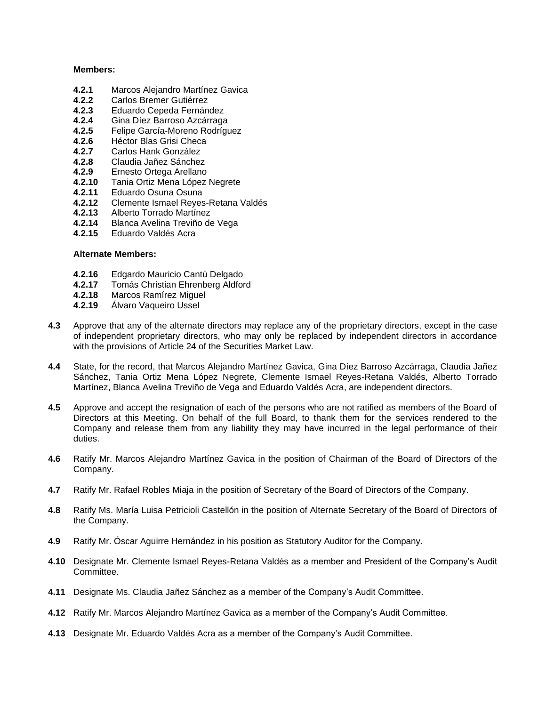### **Members:**

- **4.2.1** Marcos Alejandro Martínez Gavica
- **4.2.2** Carlos Bremer Gutiérrez
- **4.2.3** Eduardo Cepeda Fernández
- **4.2.4** Gina Díez Barroso Azcárraga
- **4.2.5** Felipe García-Moreno Rodríguez
- **4.2.6** Héctor Blas Grisi Checa
- **4.2.7** Carlos Hank González
- **4.2.8** Claudia Jañez Sánchez
- **4.2.9** Ernesto Ortega Arellano
- **4.2.10** Tania Ortiz Mena López Negrete
- **4.2.11** Eduardo Osuna Osuna
- **4.2.12** Clemente Ismael Reyes-Retana Valdés
- **4.2.13** Alberto Torrado Martínez
- **4.2.14** Blanca Avelina Treviño de Vega
- **4.2.15** Eduardo Valdés Acra

## **Alternate Members:**

- **4.2.16** Edgardo Mauricio Cantú Delgado
- **4.2.17** Tomás Christian Ehrenberg Aldford
- **4.2.18** Marcos Ramírez Miguel
- **4.2.19** Álvaro Vaqueiro Ussel
- **4.3** Approve that any of the alternate directors may replace any of the proprietary directors, except in the case of independent proprietary directors, who may only be replaced by independent directors in accordance with the provisions of Article 24 of the Securities Market Law.
- **4.4** State, for the record, that Marcos Alejandro Martínez Gavica, Gina Díez Barroso Azcárraga, Claudia Jañez Sánchez, Tania Ortiz Mena López Negrete, Clemente Ismael Reyes-Retana Valdés, Alberto Torrado Martínez, Blanca Avelina Treviño de Vega and Eduardo Valdés Acra, are independent directors.
- **4.5** Approve and accept the resignation of each of the persons who are not ratified as members of the Board of Directors at this Meeting. On behalf of the full Board, to thank them for the services rendered to the Company and release them from any liability they may have incurred in the legal performance of their duties.
- **4.6** Ratify Mr. Marcos Alejandro Martínez Gavica in the position of Chairman of the Board of Directors of the Company.
- **4.7** Ratify Mr. Rafael Robles Miaja in the position of Secretary of the Board of Directors of the Company.
- **4.8** Ratify Ms. María Luisa Petricioli Castellón in the position of Alternate Secretary of the Board of Directors of the Company.
- **4.9** Ratify Mr. Óscar Aguirre Hernández in his position as Statutory Auditor for the Company.
- **4.10** Designate Mr. Clemente Ismael Reyes-Retana Valdés as a member and President of the Company's Audit Committee.
- **4.11** Designate Ms. Claudia Jañez Sánchez as a member of the Company's Audit Committee.
- **4.12** Ratify Mr. Marcos Alejandro Martínez Gavica as a member of the Company's Audit Committee.
- **4.13** Designate Mr. Eduardo Valdés Acra as a member of the Company's Audit Committee.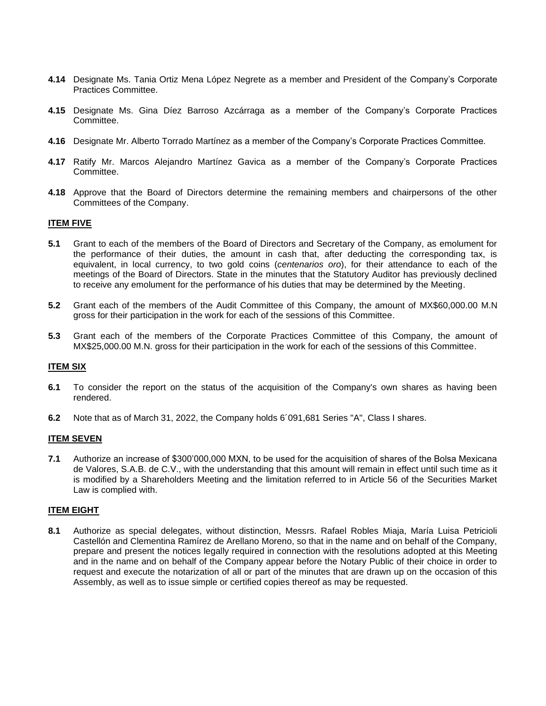- **4.14** Designate Ms. Tania Ortiz Mena López Negrete as a member and President of the Company's Corporate Practices Committee.
- **4.15** Designate Ms. Gina Díez Barroso Azcárraga as a member of the Company's Corporate Practices Committee.
- **4.16** Designate Mr. Alberto Torrado Martínez as a member of the Company's Corporate Practices Committee.
- **4.17** Ratify Mr. Marcos Alejandro Martínez Gavica as a member of the Company's Corporate Practices Committee.
- **4.18** Approve that the Board of Directors determine the remaining members and chairpersons of the other Committees of the Company.

### **ITEM FIVE**

- **5.1** Grant to each of the members of the Board of Directors and Secretary of the Company, as emolument for the performance of their duties, the amount in cash that, after deducting the corresponding tax, is equivalent, in local currency, to two gold coins (*centenarios oro*), for their attendance to each of the meetings of the Board of Directors. State in the minutes that the Statutory Auditor has previously declined to receive any emolument for the performance of his duties that may be determined by the Meeting.
- **5.2** Grant each of the members of the Audit Committee of this Company, the amount of MX\$60,000.00 M.N gross for their participation in the work for each of the sessions of this Committee.
- **5.3** Grant each of the members of the Corporate Practices Committee of this Company, the amount of MX\$25,000.00 M.N. gross for their participation in the work for each of the sessions of this Committee.

### **ITEM SIX**

- **6.1** To consider the report on the status of the acquisition of the Company's own shares as having been rendered.
- **6.2** Note that as of March 31, 2022, the Company holds 6´091,681 Series "A", Class I shares.

#### **ITEM SEVEN**

**7.1** Authorize an increase of \$300'000,000 MXN, to be used for the acquisition of shares of the Bolsa Mexicana de Valores, S.A.B. de C.V., with the understanding that this amount will remain in effect until such time as it is modified by a Shareholders Meeting and the limitation referred to in Article 56 of the Securities Market Law is complied with.

#### **ITEM EIGHT**

**8.1** Authorize as special delegates, without distinction, Messrs. Rafael Robles Miaja, María Luisa Petricioli Castellón and Clementina Ramírez de Arellano Moreno, so that in the name and on behalf of the Company, prepare and present the notices legally required in connection with the resolutions adopted at this Meeting and in the name and on behalf of the Company appear before the Notary Public of their choice in order to request and execute the notarization of all or part of the minutes that are drawn up on the occasion of this Assembly, as well as to issue simple or certified copies thereof as may be requested.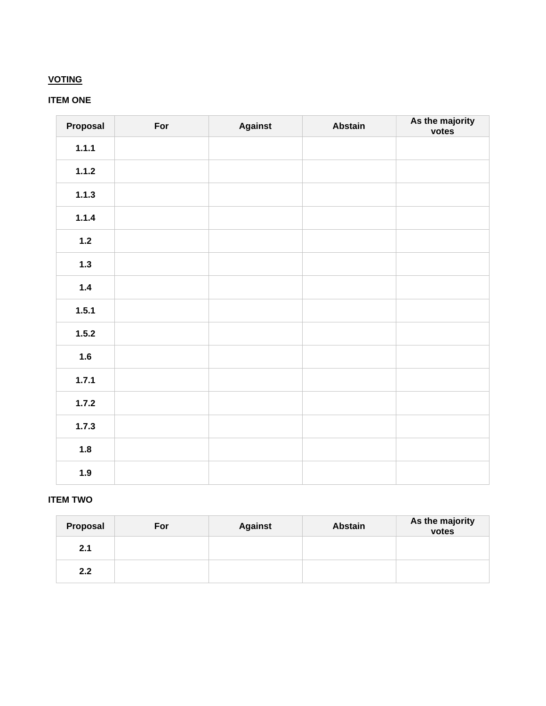# **VOTING**

## **ITEM ONE**

| Proposal | For | <b>Against</b> | <b>Abstain</b> | As the majority<br>votes |
|----------|-----|----------------|----------------|--------------------------|
| 1.1.1    |     |                |                |                          |
| 1.1.2    |     |                |                |                          |
| 1.1.3    |     |                |                |                          |
| 1.1.4    |     |                |                |                          |
| $1.2$    |     |                |                |                          |
| $1.3$    |     |                |                |                          |
| $1.4$    |     |                |                |                          |
| 1.5.1    |     |                |                |                          |
| 1.5.2    |     |                |                |                          |
| 1.6      |     |                |                |                          |
| 1.7.1    |     |                |                |                          |
| 1.7.2    |     |                |                |                          |
| 1.7.3    |     |                |                |                          |
| 1.8      |     |                |                |                          |
| 1.9      |     |                |                |                          |

## **ITEM TWO**

| Proposal | For | <b>Against</b> | <b>Abstain</b> | As the majority<br>votes |
|----------|-----|----------------|----------------|--------------------------|
| 2.1      |     |                |                |                          |
| 2.2      |     |                |                |                          |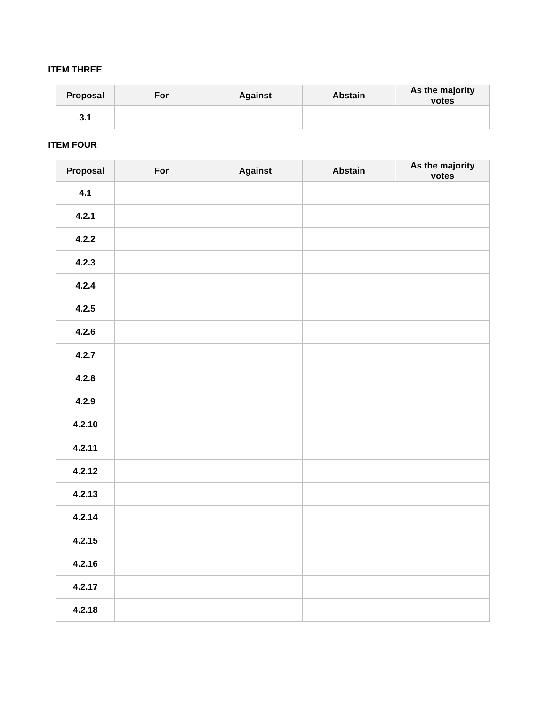# **ITEM THREE**

| Proposal | For | <b>Against</b> | <b>Abstain</b> | As the majority<br>votes |
|----------|-----|----------------|----------------|--------------------------|
| 3.1      |     |                |                |                          |

## **ITEM FOUR**

| Proposal | For | <b>Against</b> | <b>Abstain</b> | As the majority<br>votes |
|----------|-----|----------------|----------------|--------------------------|
| 4.1      |     |                |                |                          |
| 4.2.1    |     |                |                |                          |
| 4.2.2    |     |                |                |                          |
| 4.2.3    |     |                |                |                          |
| 4.2.4    |     |                |                |                          |
| 4.2.5    |     |                |                |                          |
| 4.2.6    |     |                |                |                          |
| 4.2.7    |     |                |                |                          |
| 4.2.8    |     |                |                |                          |
| 4.2.9    |     |                |                |                          |
| 4.2.10   |     |                |                |                          |
| 4.2.11   |     |                |                |                          |
| 4.2.12   |     |                |                |                          |
| 4.2.13   |     |                |                |                          |
| 4.2.14   |     |                |                |                          |
| 4.2.15   |     |                |                |                          |
| 4.2.16   |     |                |                |                          |
| 4.2.17   |     |                |                |                          |
| 4.2.18   |     |                |                |                          |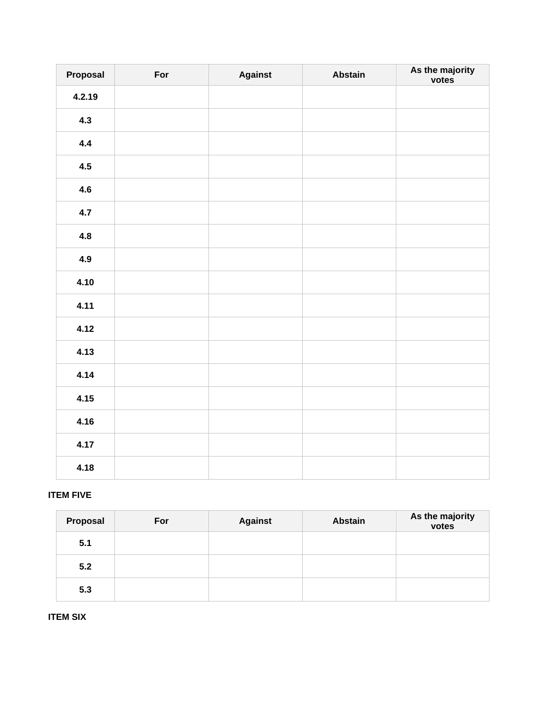| Proposal | For | <b>Against</b> | <b>Abstain</b> | As the majority<br>votes |
|----------|-----|----------------|----------------|--------------------------|
| 4.2.19   |     |                |                |                          |
| 4.3      |     |                |                |                          |
| 4.4      |     |                |                |                          |
| 4.5      |     |                |                |                          |
| 4.6      |     |                |                |                          |
| 4.7      |     |                |                |                          |
| 4.8      |     |                |                |                          |
| 4.9      |     |                |                |                          |
| 4.10     |     |                |                |                          |
| 4.11     |     |                |                |                          |
| 4.12     |     |                |                |                          |
| 4.13     |     |                |                |                          |
| 4.14     |     |                |                |                          |
| 4.15     |     |                |                |                          |
| 4.16     |     |                |                |                          |
| 4.17     |     |                |                |                          |
| 4.18     |     |                |                |                          |

## **ITEM FIVE**

| Proposal | For | <b>Against</b> | <b>Abstain</b> | As the majority<br>votes |
|----------|-----|----------------|----------------|--------------------------|
| 5.1      |     |                |                |                          |
| 5.2      |     |                |                |                          |
| 5.3      |     |                |                |                          |

**ITEM SIX**